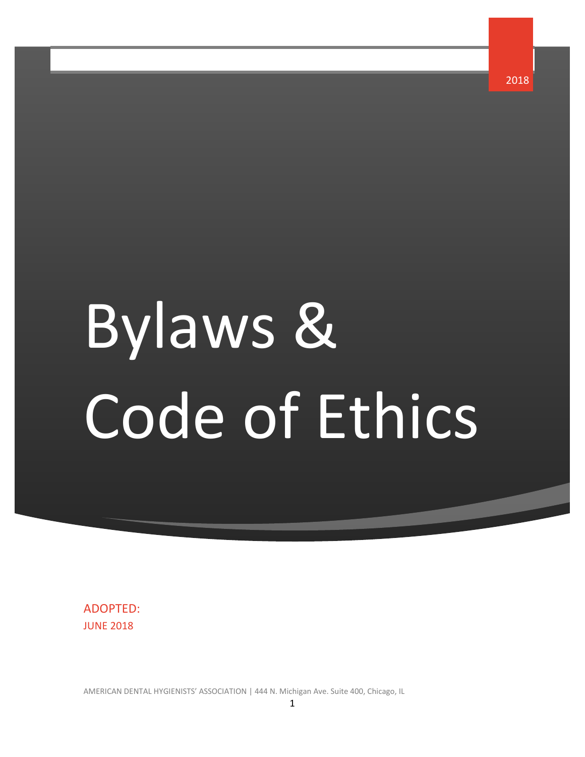<span id="page-0-0"></span>Bylaws & Code of Ethics 2018

ADOPTED: JUNE 2018

AMERICAN DENTAL HYGIENISTS' ASSOCIATION | 444 N. Michigan Ave. Suite 400, Chicago, IL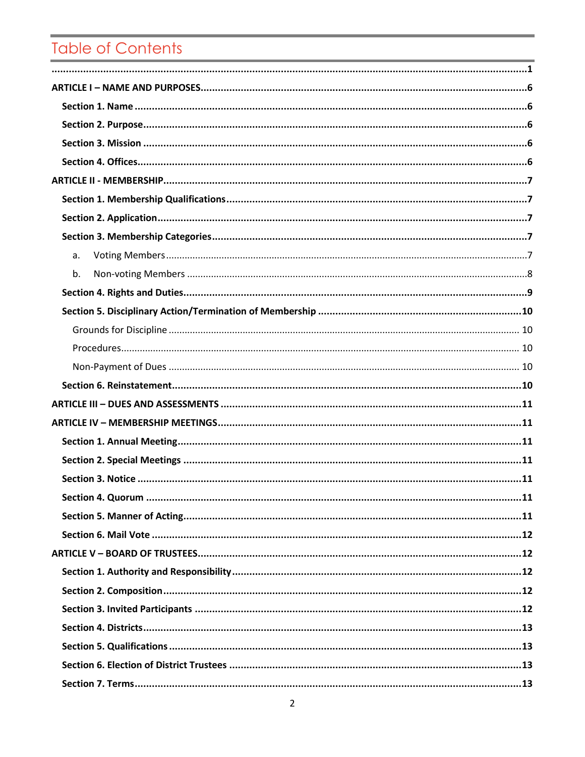# Table of Contents

| a. |
|----|
| b. |
|    |
|    |
|    |
|    |
|    |
|    |
|    |
|    |
|    |
|    |
|    |
|    |
|    |
|    |
|    |
|    |
|    |
|    |
|    |
|    |
|    |
|    |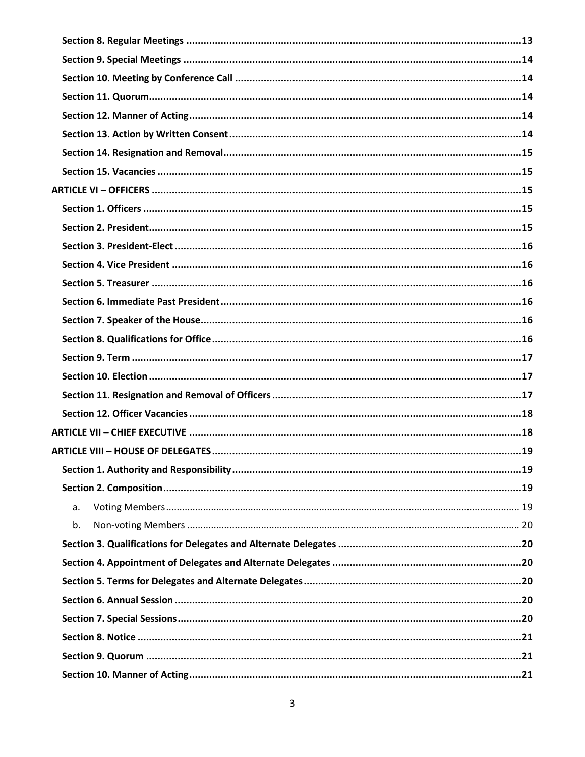| a. |
|----|
| b. |
|    |
|    |
|    |
|    |
|    |
|    |
|    |
|    |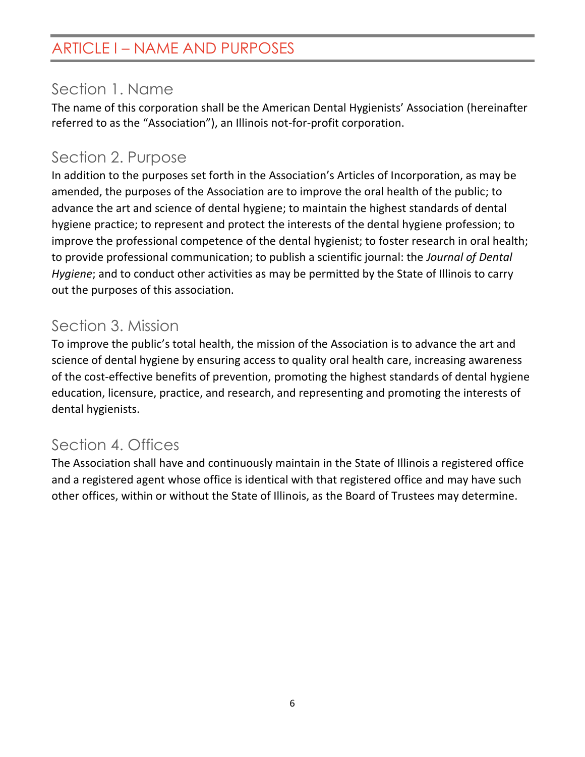## <span id="page-5-0"></span>ARTICLE I – NAME AND PURPOSES

## <span id="page-5-1"></span>Section 1. Name

The name of this corporation shall be the American Dental Hygienists' Association (hereinafter referred to as the "Association"), an Illinois not-for-profit corporation.

## <span id="page-5-2"></span>Section 2. Purpose

In addition to the purposes set forth in the Association's Articles of Incorporation, as may be amended, the purposes of the Association are to improve the oral health of the public; to advance the art and science of dental hygiene; to maintain the highest standards of dental hygiene practice; to represent and protect the interests of the dental hygiene profession; to improve the professional competence of the dental hygienist; to foster research in oral health; to provide professional communication; to publish a scientific journal: the *Journal of Dental Hygiene*; and to conduct other activities as may be permitted by the State of Illinois to carry out the purposes of this association.

## <span id="page-5-3"></span>Section 3. Mission

To improve the public's total health, the mission of the Association is to advance the art and science of dental hygiene by ensuring access to quality oral health care, increasing awareness of the cost-effective benefits of prevention, promoting the highest standards of dental hygiene education, licensure, practice, and research, and representing and promoting the interests of dental hygienists.

## <span id="page-5-4"></span>Section 4. Offices

The Association shall have and continuously maintain in the State of Illinois a registered office and a registered agent whose office is identical with that registered office and may have such other offices, within or without the State of Illinois, as the Board of Trustees may determine.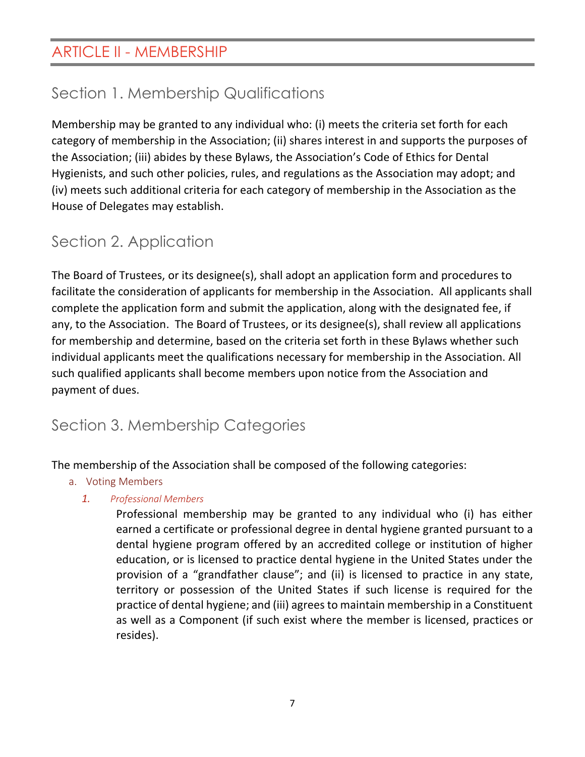# <span id="page-6-1"></span><span id="page-6-0"></span>Section 1. Membership Qualifications

Membership may be granted to any individual who: (i) meets the criteria set forth for each category of membership in the Association; (ii) shares interest in and supports the purposes of the Association; (iii) abides by these Bylaws, the Association's Code of Ethics for Dental Hygienists, and such other policies, rules, and regulations as the Association may adopt; and (iv) meets such additional criteria for each category of membership in the Association as the House of Delegates may establish.

# <span id="page-6-2"></span>Section 2. Application

The Board of Trustees, or its designee(s), shall adopt an application form and procedures to facilitate the consideration of applicants for membership in the Association. All applicants shall complete the application form and submit the application, along with the designated fee, if any, to the Association. The Board of Trustees, or its designee(s), shall review all applications for membership and determine, based on the criteria set forth in these Bylaws whether such individual applicants meet the qualifications necessary for membership in the Association. All such qualified applicants shall become members upon notice from the Association and payment of dues.

# <span id="page-6-3"></span>Section 3. Membership Categories

<span id="page-6-4"></span>The membership of the Association shall be composed of the following categories:

- a. Voting Members
	- *1. Professional Members*

Professional membership may be granted to any individual who (i) has either earned a certificate or professional degree in dental hygiene granted pursuant to a dental hygiene program offered by an accredited college or institution of higher education, or is licensed to practice dental hygiene in the United States under the provision of a "grandfather clause"; and (ii) is licensed to practice in any state, territory or possession of the United States if such license is required for the practice of dental hygiene; and (iii) agrees to maintain membership in a Constituent as well as a Component (if such exist where the member is licensed, practices or resides).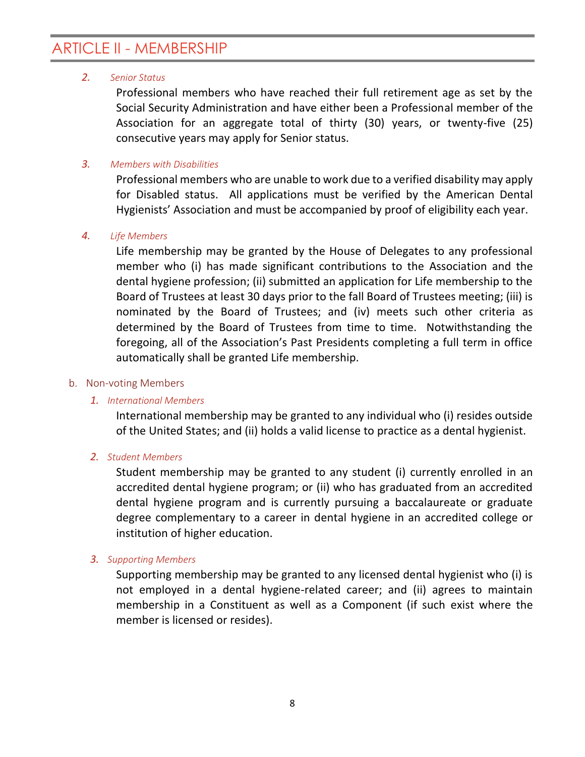#### *2. Senior Status*

Professional members who have reached their full retirement age as set by the Social Security Administration and have either been a Professional member of the Association for an aggregate total of thirty (30) years, or twenty-five (25) consecutive years may apply for Senior status.

#### *3. Members with Disabilities*

Professional members who are unable to work due to a verified disability may apply for Disabled status. All applications must be verified by the American Dental Hygienists' Association and must be accompanied by proof of eligibility each year.

#### *4. Life Members*

Life membership may be granted by the House of Delegates to any professional member who (i) has made significant contributions to the Association and the dental hygiene profession; (ii) submitted an application for Life membership to the Board of Trustees at least 30 days prior to the fall Board of Trustees meeting; (iii) is nominated by the Board of Trustees; and (iv) meets such other criteria as determined by the Board of Trustees from time to time. Notwithstanding the foregoing, all of the Association's Past Presidents completing a full term in office automatically shall be granted Life membership.

#### <span id="page-7-0"></span>b. Non-voting Members

#### *1. International Members*

International membership may be granted to any individual who (i) resides outside of the United States; and (ii) holds a valid license to practice as a dental hygienist.

#### *2. Student Members*

Student membership may be granted to any student (i) currently enrolled in an accredited dental hygiene program; or (ii) who has graduated from an accredited dental hygiene program and is currently pursuing a baccalaureate or graduate degree complementary to a career in dental hygiene in an accredited college or institution of higher education.

#### *3. Supporting Members*

Supporting membership may be granted to any licensed dental hygienist who (i) is not employed in a dental hygiene-related career; and (ii) agrees to maintain membership in a Constituent as well as a Component (if such exist where the member is licensed or resides).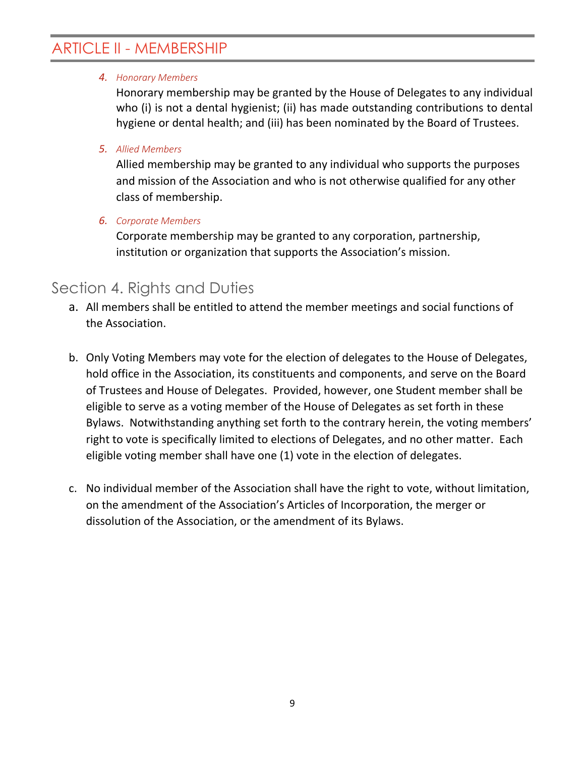#### *4. Honorary Members*

Honorary membership may be granted by the House of Delegates to any individual who (i) is not a dental hygienist; (ii) has made outstanding contributions to dental hygiene or dental health; and (iii) has been nominated by the Board of Trustees.

#### *5. Allied Members*

Allied membership may be granted to any individual who supports the purposes and mission of the Association and who is not otherwise qualified for any other class of membership.

#### *6. Corporate Members*

Corporate membership may be granted to any corporation, partnership, institution or organization that supports the Association's mission.

#### <span id="page-8-0"></span>Section 4. Rights and Duties

- a. All members shall be entitled to attend the member meetings and social functions of the Association.
- b. Only Voting Members may vote for the election of delegates to the House of Delegates, hold office in the Association, its constituents and components, and serve on the Board of Trustees and House of Delegates. Provided, however, one Student member shall be eligible to serve as a voting member of the House of Delegates as set forth in these Bylaws. Notwithstanding anything set forth to the contrary herein, the voting members' right to vote is specifically limited to elections of Delegates, and no other matter. Each eligible voting member shall have one (1) vote in the election of delegates.
- c. No individual member of the Association shall have the right to vote, without limitation, on the amendment of the Association's Articles of Incorporation, the merger or dissolution of the Association, or the amendment of its Bylaws.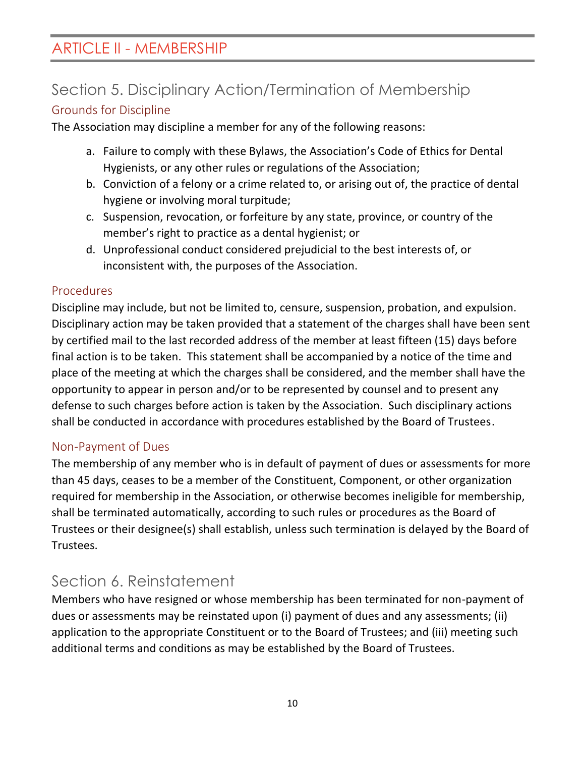# <span id="page-9-0"></span>Section 5. Disciplinary Action/Termination of Membership

#### <span id="page-9-1"></span>Grounds for Discipline

The Association may discipline a member for any of the following reasons:

- a. Failure to comply with these Bylaws, the Association's Code of Ethics for Dental Hygienists, or any other rules or regulations of the Association;
- b. Conviction of a felony or a crime related to, or arising out of, the practice of dental hygiene or involving moral turpitude;
- c. Suspension, revocation, or forfeiture by any state, province, or country of the member's right to practice as a dental hygienist; or
- d. Unprofessional conduct considered prejudicial to the best interests of, or inconsistent with, the purposes of the Association.

#### <span id="page-9-2"></span>Procedures

Discipline may include, but not be limited to, censure, suspension, probation, and expulsion. Disciplinary action may be taken provided that a statement of the charges shall have been sent by certified mail to the last recorded address of the member at least fifteen (15) days before final action is to be taken. This statement shall be accompanied by a notice of the time and place of the meeting at which the charges shall be considered, and the member shall have the opportunity to appear in person and/or to be represented by counsel and to present any defense to such charges before action is taken by the Association. Such disciplinary actions shall be conducted in accordance with procedures established by the Board of Trustees.

#### <span id="page-9-3"></span>Non-Payment of Dues

The membership of any member who is in default of payment of dues or assessments for more than 45 days, ceases to be a member of the Constituent, Component, or other organization required for membership in the Association, or otherwise becomes ineligible for membership, shall be terminated automatically, according to such rules or procedures as the Board of Trustees or their designee(s) shall establish, unless such termination is delayed by the Board of Trustees.

### <span id="page-9-4"></span>Section 6. Reinstatement

Members who have resigned or whose membership has been terminated for non-payment of dues or assessments may be reinstated upon (i) payment of dues and any assessments; (ii) application to the appropriate Constituent or to the Board of Trustees; and (iii) meeting such additional terms and conditions as may be established by the Board of Trustees.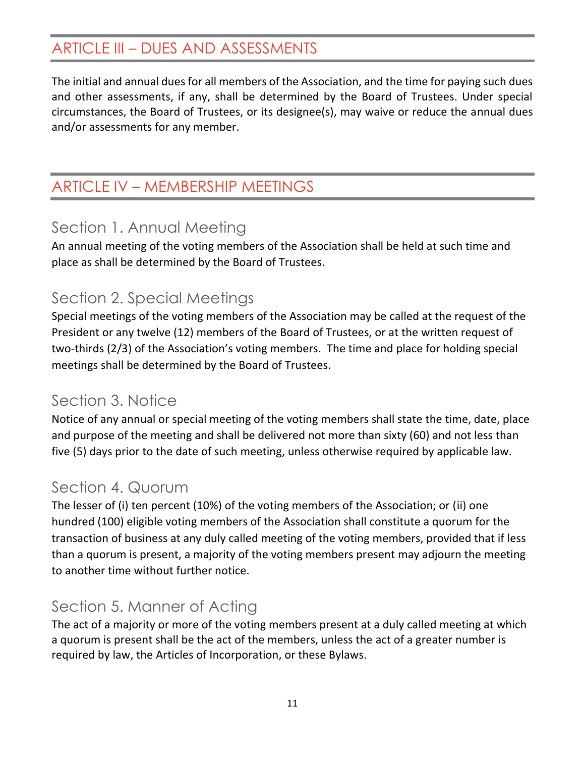## <span id="page-10-0"></span>ARTICLE III – DUES AND ASSESSMENTS

The initial and annual dues for all members of the Association, and the time for paying such dues and other assessments, if any, shall be determined by the Board of Trustees. Under special circumstances, the Board of Trustees, or its designee(s), may waive or reduce the annual dues and/or assessments for any member.

## <span id="page-10-1"></span>ARTICLE IV – MEMBERSHIP MEETINGS

### <span id="page-10-2"></span>Section 1. Annual Meeting

An annual meeting of the voting members of the Association shall be held at such time and place as shall be determined by the Board of Trustees.

### <span id="page-10-3"></span>Section 2. Special Meetings

Special meetings of the voting members of the Association may be called at the request of the President or any twelve (12) members of the Board of Trustees, or at the written request of two-thirds (2/3) of the Association's voting members. The time and place for holding special meetings shall be determined by the Board of Trustees.

## <span id="page-10-4"></span>Section 3. Notice

Notice of any annual or special meeting of the voting members shall state the time, date, place and purpose of the meeting and shall be delivered not more than sixty (60) and not less than five (5) days prior to the date of such meeting, unless otherwise required by applicable law.

### <span id="page-10-5"></span>Section 4. Quorum

The lesser of (i) ten percent (10%) of the voting members of the Association; or (ii) one hundred (100) eligible voting members of the Association shall constitute a quorum for the transaction of business at any duly called meeting of the voting members, provided that if less than a quorum is present, a majority of the voting members present may adjourn the meeting to another time without further notice.

## <span id="page-10-6"></span>Section 5. Manner of Acting

The act of a majority or more of the voting members present at a duly called meeting at which a quorum is present shall be the act of the members, unless the act of a greater number is required by law, the Articles of Incorporation, or these Bylaws.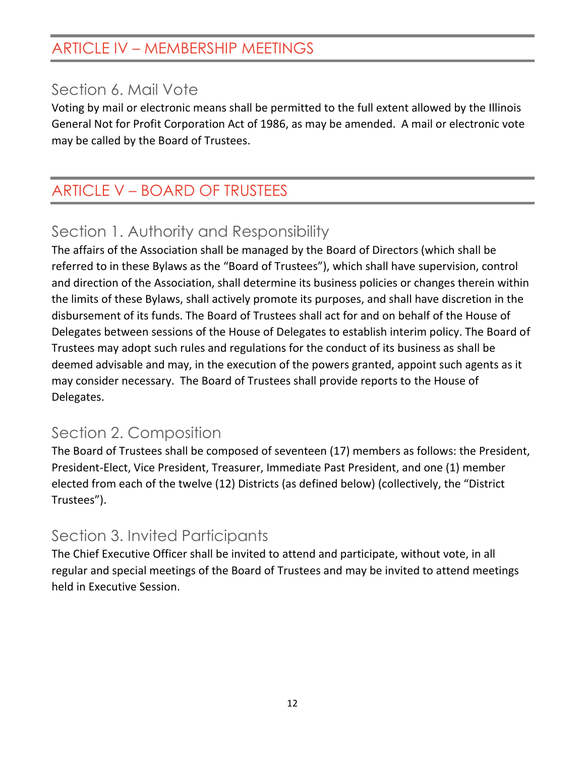## ARTICLE IV – MEMBERSHIP MEETINGS

#### <span id="page-11-0"></span>Section 6. Mail Vote

Voting by mail or electronic means shall be permitted to the full extent allowed by the Illinois General Not for Profit Corporation Act of 1986, as may be amended. A mail or electronic vote may be called by the Board of Trustees.

# <span id="page-11-1"></span>ARTICLE V – BOARD OF TRUSTEES

## <span id="page-11-2"></span>Section 1. Authority and Responsibility

The affairs of the Association shall be managed by the Board of Directors (which shall be referred to in these Bylaws as the "Board of Trustees"), which shall have supervision, control and direction of the Association, shall determine its business policies or changes therein within the limits of these Bylaws, shall actively promote its purposes, and shall have discretion in the disbursement of its funds. The Board of Trustees shall act for and on behalf of the House of Delegates between sessions of the House of Delegates to establish interim policy. The Board of Trustees may adopt such rules and regulations for the conduct of its business as shall be deemed advisable and may, in the execution of the powers granted, appoint such agents as it may consider necessary. The Board of Trustees shall provide reports to the House of Delegates.

## <span id="page-11-3"></span>Section 2. Composition

The Board of Trustees shall be composed of seventeen (17) members as follows: the President, President-Elect, Vice President, Treasurer, Immediate Past President, and one (1) member elected from each of the twelve (12) Districts (as defined below) (collectively, the "District Trustees").

## <span id="page-11-4"></span>Section 3. Invited Participants

The Chief Executive Officer shall be invited to attend and participate, without vote, in all regular and special meetings of the Board of Trustees and may be invited to attend meetings held in Executive Session.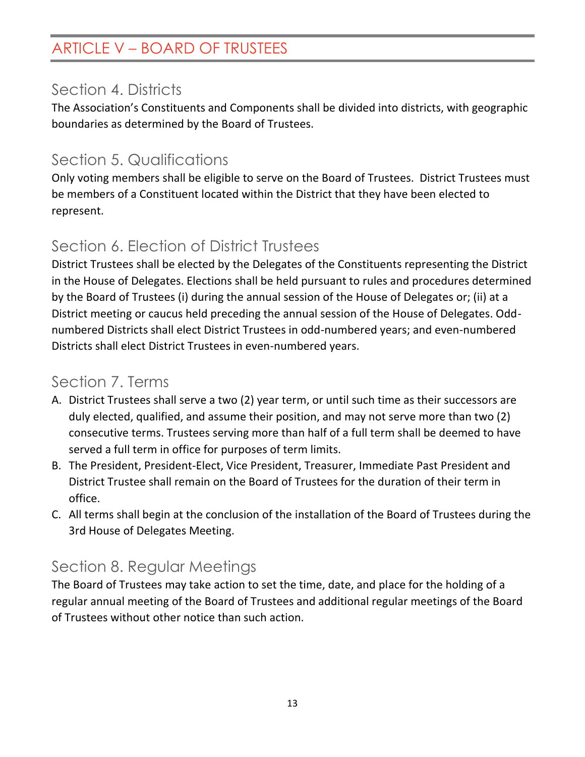## ARTICLE V – BOARD OF TRUSTEES

## <span id="page-12-0"></span>Section 4. Districts

The Association's Constituents and Components shall be divided into districts, with geographic boundaries as determined by the Board of Trustees.

## <span id="page-12-1"></span>Section 5. Qualifications

Only voting members shall be eligible to serve on the Board of Trustees. District Trustees must be members of a Constituent located within the District that they have been elected to represent.

## <span id="page-12-2"></span>Section 6. Election of District Trustees

District Trustees shall be elected by the Delegates of the Constituents representing the District in the House of Delegates. Elections shall be held pursuant to rules and procedures determined by the Board of Trustees (i) during the annual session of the House of Delegates or; (ii) at a District meeting or caucus held preceding the annual session of the House of Delegates. Oddnumbered Districts shall elect District Trustees in odd-numbered years; and even-numbered Districts shall elect District Trustees in even-numbered years.

## <span id="page-12-3"></span>Section 7. Terms

- A. District Trustees shall serve a two (2) year term, or until such time as their successors are duly elected, qualified, and assume their position, and may not serve more than two (2) consecutive terms. Trustees serving more than half of a full term shall be deemed to have served a full term in office for purposes of term limits.
- B. The President, President-Elect, Vice President, Treasurer, Immediate Past President and District Trustee shall remain on the Board of Trustees for the duration of their term in office.
- C. All terms shall begin at the conclusion of the installation of the Board of Trustees during the 3rd House of Delegates Meeting.

## <span id="page-12-4"></span>Section 8. Regular Meetings

The Board of Trustees may take action to set the time, date, and place for the holding of a regular annual meeting of the Board of Trustees and additional regular meetings of the Board of Trustees without other notice than such action.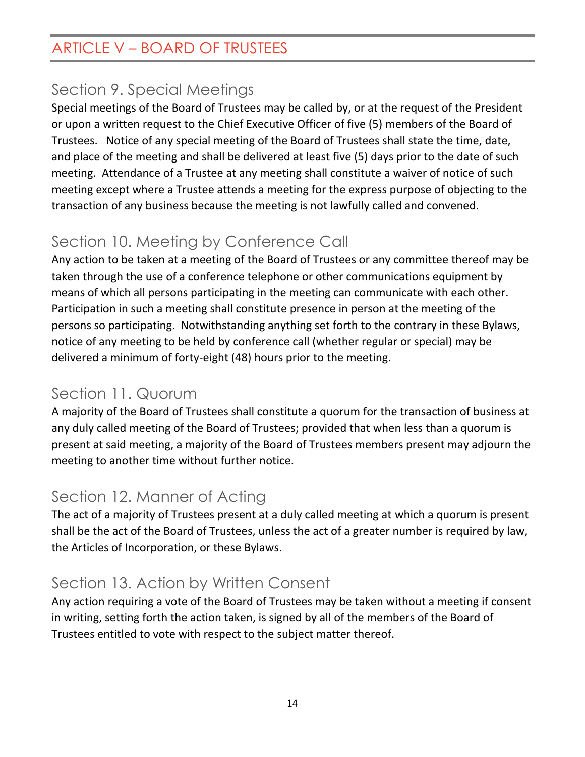## ARTICLE V – BOARD OF TRUSTEES

## <span id="page-13-0"></span>Section 9. Special Meetings

Special meetings of the Board of Trustees may be called by, or at the request of the President or upon a written request to the Chief Executive Officer of five (5) members of the Board of Trustees. Notice of any special meeting of the Board of Trustees shall state the time, date, and place of the meeting and shall be delivered at least five (5) days prior to the date of such meeting. Attendance of a Trustee at any meeting shall constitute a waiver of notice of such meeting except where a Trustee attends a meeting for the express purpose of objecting to the transaction of any business because the meeting is not lawfully called and convened.

## <span id="page-13-1"></span>Section 10. Meeting by Conference Call

Any action to be taken at a meeting of the Board of Trustees or any committee thereof may be taken through the use of a conference telephone or other communications equipment by means of which all persons participating in the meeting can communicate with each other. Participation in such a meeting shall constitute presence in person at the meeting of the persons so participating. Notwithstanding anything set forth to the contrary in these Bylaws, notice of any meeting to be held by conference call (whether regular or special) may be delivered a minimum of forty-eight (48) hours prior to the meeting.

### <span id="page-13-2"></span>Section 11. Quorum

A majority of the Board of Trustees shall constitute a quorum for the transaction of business at any duly called meeting of the Board of Trustees; provided that when less than a quorum is present at said meeting, a majority of the Board of Trustees members present may adjourn the meeting to another time without further notice.

## <span id="page-13-3"></span>Section 12. Manner of Acting

The act of a majority of Trustees present at a duly called meeting at which a quorum is present shall be the act of the Board of Trustees, unless the act of a greater number is required by law, the Articles of Incorporation, or these Bylaws.

# <span id="page-13-4"></span>Section 13. Action by Written Consent

Any action requiring a vote of the Board of Trustees may be taken without a meeting if consent in writing, setting forth the action taken, is signed by all of the members of the Board of Trustees entitled to vote with respect to the subject matter thereof.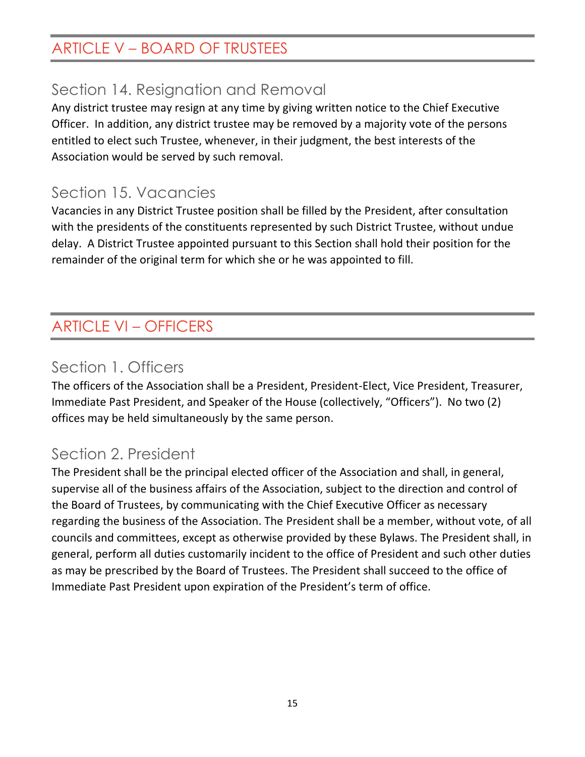# ARTICLE V – BOARD OF TRUSTEES

## <span id="page-14-0"></span>Section 14. Resignation and Removal

Any district trustee may resign at any time by giving written notice to the Chief Executive Officer. In addition, any district trustee may be removed by a majority vote of the persons entitled to elect such Trustee, whenever, in their judgment, the best interests of the Association would be served by such removal.

### <span id="page-14-1"></span>Section 15. Vacancies

Vacancies in any District Trustee position shall be filled by the President, after consultation with the presidents of the constituents represented by such District Trustee, without undue delay. A District Trustee appointed pursuant to this Section shall hold their position for the remainder of the original term for which she or he was appointed to fill.

# <span id="page-14-2"></span>ARTICLE VI – OFFICERS

## <span id="page-14-3"></span>Section 1. Officers

The officers of the Association shall be a President, President-Elect, Vice President, Treasurer, Immediate Past President, and Speaker of the House (collectively, "Officers"). No two (2) offices may be held simultaneously by the same person.

## <span id="page-14-4"></span>Section 2. President

The President shall be the principal elected officer of the Association and shall, in general, supervise all of the business affairs of the Association, subject to the direction and control of the Board of Trustees, by communicating with the Chief Executive Officer as necessary regarding the business of the Association. The President shall be a member, without vote, of all councils and committees, except as otherwise provided by these Bylaws. The President shall, in general, perform all duties customarily incident to the office of President and such other duties as may be prescribed by the Board of Trustees. The President shall succeed to the office of Immediate Past President upon expiration of the President's term of office.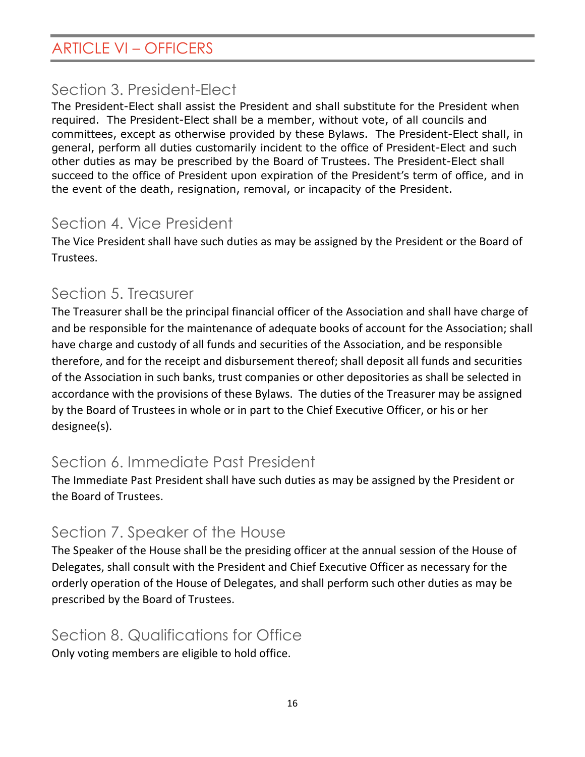## ARTICLE VI – OFFICERS

### <span id="page-15-0"></span>Section 3. President-Elect

The President-Elect shall assist the President and shall substitute for the President when required. The President-Elect shall be a member, without vote, of all councils and committees, except as otherwise provided by these Bylaws. The President-Elect shall, in general, perform all duties customarily incident to the office of President-Elect and such other duties as may be prescribed by the Board of Trustees. The President-Elect shall succeed to the office of President upon expiration of the President's term of office, and in the event of the death, resignation, removal, or incapacity of the President.

### <span id="page-15-1"></span>Section 4. Vice President

The Vice President shall have such duties as may be assigned by the President or the Board of Trustees.

### <span id="page-15-2"></span>Section 5. Treasurer

The Treasurer shall be the principal financial officer of the Association and shall have charge of and be responsible for the maintenance of adequate books of account for the Association; shall have charge and custody of all funds and securities of the Association, and be responsible therefore, and for the receipt and disbursement thereof; shall deposit all funds and securities of the Association in such banks, trust companies or other depositories as shall be selected in accordance with the provisions of these Bylaws. The duties of the Treasurer may be assigned by the Board of Trustees in whole or in part to the Chief Executive Officer, or his or her designee(s).

## <span id="page-15-3"></span>Section 6. Immediate Past President

The Immediate Past President shall have such duties as may be assigned by the President or the Board of Trustees.

## <span id="page-15-4"></span>Section 7. Speaker of the House

The Speaker of the House shall be the presiding officer at the annual session of the House of Delegates, shall consult with the President and Chief Executive Officer as necessary for the orderly operation of the House of Delegates, and shall perform such other duties as may be prescribed by the Board of Trustees.

### <span id="page-15-5"></span>Section 8. Qualifications for Office

Only voting members are eligible to hold office.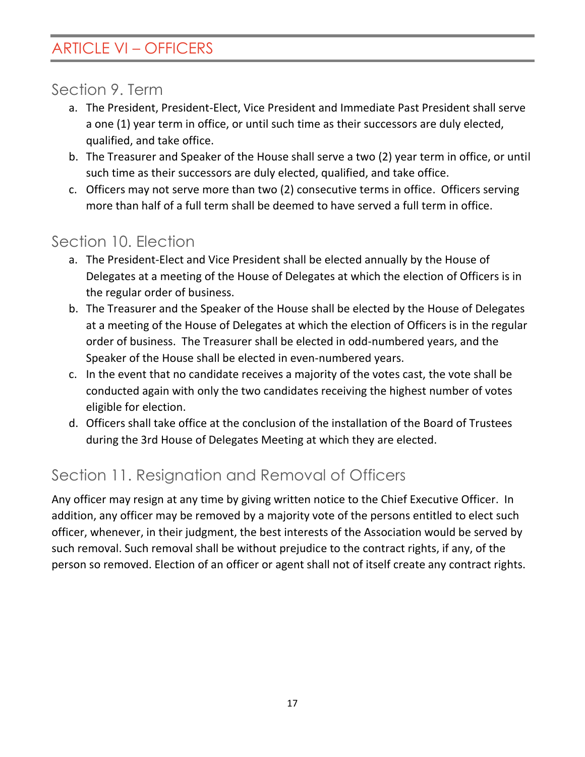## ARTICLE VI – OFFICERS

### <span id="page-16-0"></span>Section 9. Term

- a. The President, President-Elect, Vice President and Immediate Past President shall serve a one (1) year term in office, or until such time as their successors are duly elected, qualified, and take office.
- b. The Treasurer and Speaker of the House shall serve a two (2) year term in office, or until such time as their successors are duly elected, qualified, and take office.
- c. Officers may not serve more than two (2) consecutive terms in office. Officers serving more than half of a full term shall be deemed to have served a full term in office.

### <span id="page-16-1"></span>Section 10. Election

- a. The President-Elect and Vice President shall be elected annually by the House of Delegates at a meeting of the House of Delegates at which the election of Officers is in the regular order of business.
- b. The Treasurer and the Speaker of the House shall be elected by the House of Delegates at a meeting of the House of Delegates at which the election of Officers is in the regular order of business. The Treasurer shall be elected in odd-numbered years, and the Speaker of the House shall be elected in even-numbered years.
- c. In the event that no candidate receives a majority of the votes cast, the vote shall be conducted again with only the two candidates receiving the highest number of votes eligible for election.
- d. Officers shall take office at the conclusion of the installation of the Board of Trustees during the 3rd House of Delegates Meeting at which they are elected.

## <span id="page-16-2"></span>Section 11. Resignation and Removal of Officers

Any officer may resign at any time by giving written notice to the Chief Executive Officer. In addition, any officer may be removed by a majority vote of the persons entitled to elect such officer, whenever, in their judgment, the best interests of the Association would be served by such removal. Such removal shall be without prejudice to the contract rights, if any, of the person so removed. Election of an officer or agent shall not of itself create any contract rights.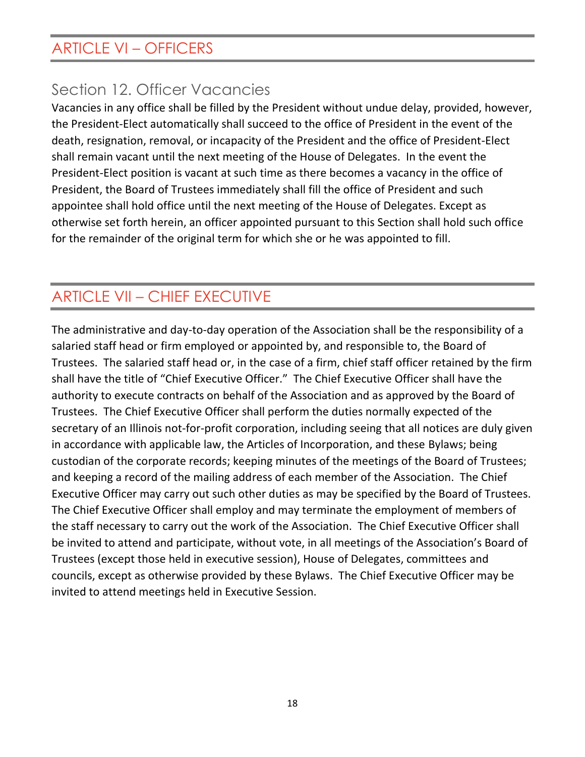## ARTICLE VI – OFFICERS

## <span id="page-17-0"></span>Section 12. Officer Vacancies

Vacancies in any office shall be filled by the President without undue delay, provided, however, the President-Elect automatically shall succeed to the office of President in the event of the death, resignation, removal, or incapacity of the President and the office of President-Elect shall remain vacant until the next meeting of the House of Delegates. In the event the President-Elect position is vacant at such time as there becomes a vacancy in the office of President, the Board of Trustees immediately shall fill the office of President and such appointee shall hold office until the next meeting of the House of Delegates. Except as otherwise set forth herein, an officer appointed pursuant to this Section shall hold such office for the remainder of the original term for which she or he was appointed to fill.

## <span id="page-17-1"></span>ARTICLE VII – CHIEF EXECUTIVE

The administrative and day-to-day operation of the Association shall be the responsibility of a salaried staff head or firm employed or appointed by, and responsible to, the Board of Trustees. The salaried staff head or, in the case of a firm, chief staff officer retained by the firm shall have the title of "Chief Executive Officer." The Chief Executive Officer shall have the authority to execute contracts on behalf of the Association and as approved by the Board of Trustees. The Chief Executive Officer shall perform the duties normally expected of the secretary of an Illinois not-for-profit corporation, including seeing that all notices are duly given in accordance with applicable law, the Articles of Incorporation, and these Bylaws; being custodian of the corporate records; keeping minutes of the meetings of the Board of Trustees; and keeping a record of the mailing address of each member of the Association. The Chief Executive Officer may carry out such other duties as may be specified by the Board of Trustees. The Chief Executive Officer shall employ and may terminate the employment of members of the staff necessary to carry out the work of the Association. The Chief Executive Officer shall be invited to attend and participate, without vote, in all meetings of the Association's Board of Trustees (except those held in executive session), House of Delegates, committees and councils, except as otherwise provided by these Bylaws. The Chief Executive Officer may be invited to attend meetings held in Executive Session.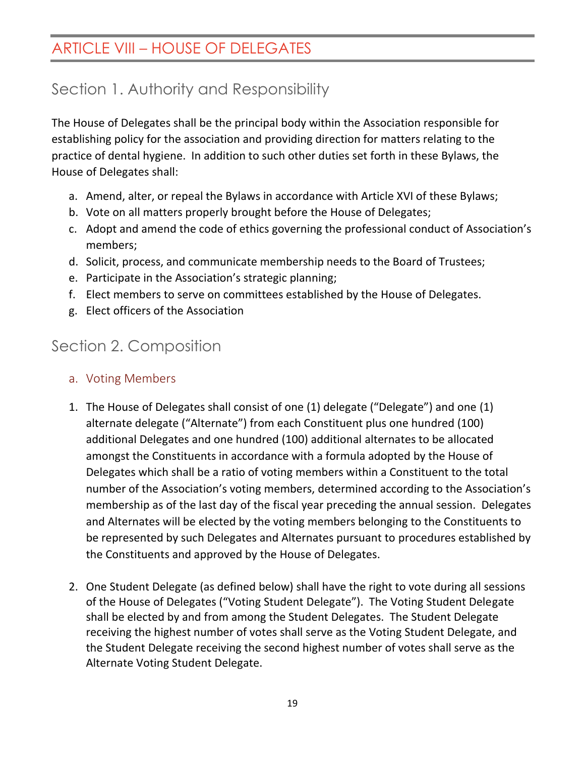## <span id="page-18-0"></span>ARTICLE VIII – HOUSE OF DELEGATES

## <span id="page-18-1"></span>Section 1. Authority and Responsibility

The House of Delegates shall be the principal body within the Association responsible for establishing policy for the association and providing direction for matters relating to the practice of dental hygiene. In addition to such other duties set forth in these Bylaws, the House of Delegates shall:

- a. Amend, alter, or repeal the Bylaws in accordance with Article XVI of these Bylaws;
- b. Vote on all matters properly brought before the House of Delegates;
- c. Adopt and amend the code of ethics governing the professional conduct of Association's members;
- d. Solicit, process, and communicate membership needs to the Board of Trustees;
- e. Participate in the Association's strategic planning;
- f. Elect members to serve on committees established by the House of Delegates.
- g. Elect officers of the Association

# <span id="page-18-2"></span>Section 2. Composition

- <span id="page-18-3"></span>a. Voting Members
- 1. The House of Delegates shall consist of one (1) delegate ("Delegate") and one (1) alternate delegate ("Alternate") from each Constituent plus one hundred (100) additional Delegates and one hundred (100) additional alternates to be allocated amongst the Constituents in accordance with a formula adopted by the House of Delegates which shall be a ratio of voting members within a Constituent to the total number of the Association's voting members, determined according to the Association's membership as of the last day of the fiscal year preceding the annual session. Delegates and Alternates will be elected by the voting members belonging to the Constituents to be represented by such Delegates and Alternates pursuant to procedures established by the Constituents and approved by the House of Delegates.
- 2. One Student Delegate (as defined below) shall have the right to vote during all sessions of the House of Delegates ("Voting Student Delegate"). The Voting Student Delegate shall be elected by and from among the Student Delegates. The Student Delegate receiving the highest number of votes shall serve as the Voting Student Delegate, and the Student Delegate receiving the second highest number of votes shall serve as the Alternate Voting Student Delegate.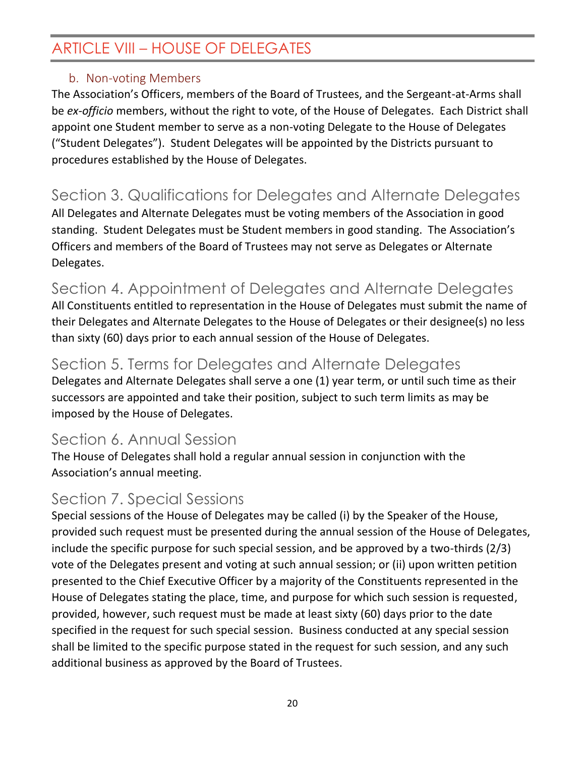## ARTICLE VIII – HOUSE OF DELEGATES

#### b. Non-voting Members

<span id="page-19-0"></span>The Association's Officers, members of the Board of Trustees, and the Sergeant-at-Arms shall be *ex-officio* members, without the right to vote, of the House of Delegates. Each District shall appoint one Student member to serve as a non-voting Delegate to the House of Delegates ("Student Delegates"). Student Delegates will be appointed by the Districts pursuant to procedures established by the House of Delegates.

# <span id="page-19-1"></span>Section 3. Qualifications for Delegates and Alternate Delegates

All Delegates and Alternate Delegates must be voting members of the Association in good standing. Student Delegates must be Student members in good standing. The Association's Officers and members of the Board of Trustees may not serve as Delegates or Alternate Delegates.

# <span id="page-19-2"></span>Section 4. Appointment of Delegates and Alternate Delegates

All Constituents entitled to representation in the House of Delegates must submit the name of their Delegates and Alternate Delegates to the House of Delegates or their designee(s) no less than sixty (60) days prior to each annual session of the House of Delegates.

#### <span id="page-19-3"></span>Section 5. Terms for Delegates and Alternate Delegates

Delegates and Alternate Delegates shall serve a one (1) year term, or until such time as their successors are appointed and take their position, subject to such term limits as may be imposed by the House of Delegates.

### <span id="page-19-4"></span>Section 6. Annual Session

The House of Delegates shall hold a regular annual session in conjunction with the Association's annual meeting.

## <span id="page-19-5"></span>Section 7. Special Sessions

Special sessions of the House of Delegates may be called (i) by the Speaker of the House, provided such request must be presented during the annual session of the House of Delegates, include the specific purpose for such special session, and be approved by a two-thirds (2/3) vote of the Delegates present and voting at such annual session; or (ii) upon written petition presented to the Chief Executive Officer by a majority of the Constituents represented in the House of Delegates stating the place, time, and purpose for which such session is requested, provided, however, such request must be made at least sixty (60) days prior to the date specified in the request for such special session. Business conducted at any special session shall be limited to the specific purpose stated in the request for such session, and any such additional business as approved by the Board of Trustees.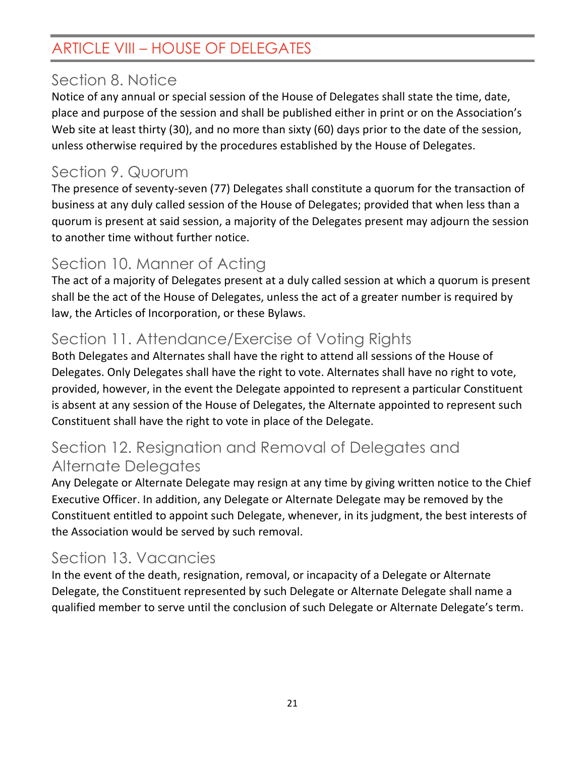## ARTICLE VIII – HOUSE OF DELEGATES

## <span id="page-20-0"></span>Section 8. Notice

Notice of any annual or special session of the House of Delegates shall state the time, date, place and purpose of the session and shall be published either in print or on the Association's Web site at least thirty (30), and no more than sixty (60) days prior to the date of the session, unless otherwise required by the procedures established by the House of Delegates.

## <span id="page-20-1"></span>Section 9. Quorum

The presence of seventy-seven (77) Delegates shall constitute a quorum for the transaction of business at any duly called session of the House of Delegates; provided that when less than a quorum is present at said session, a majority of the Delegates present may adjourn the session to another time without further notice.

## <span id="page-20-2"></span>Section 10. Manner of Acting

The act of a majority of Delegates present at a duly called session at which a quorum is present shall be the act of the House of Delegates, unless the act of a greater number is required by law, the Articles of Incorporation, or these Bylaws.

# <span id="page-20-3"></span>Section 11. Attendance/Exercise of Voting Rights

Both Delegates and Alternates shall have the right to attend all sessions of the House of Delegates. Only Delegates shall have the right to vote. Alternates shall have no right to vote, provided, however, in the event the Delegate appointed to represent a particular Constituent is absent at any session of the House of Delegates, the Alternate appointed to represent such Constituent shall have the right to vote in place of the Delegate.

## <span id="page-20-4"></span>Section 12. Resignation and Removal of Delegates and Alternate Delegates

Any Delegate or Alternate Delegate may resign at any time by giving written notice to the Chief Executive Officer. In addition, any Delegate or Alternate Delegate may be removed by the Constituent entitled to appoint such Delegate, whenever, in its judgment, the best interests of the Association would be served by such removal.

# <span id="page-20-5"></span>Section 13. Vacancies

In the event of the death, resignation, removal, or incapacity of a Delegate or Alternate Delegate, the Constituent represented by such Delegate or Alternate Delegate shall name a qualified member to serve until the conclusion of such Delegate or Alternate Delegate's term.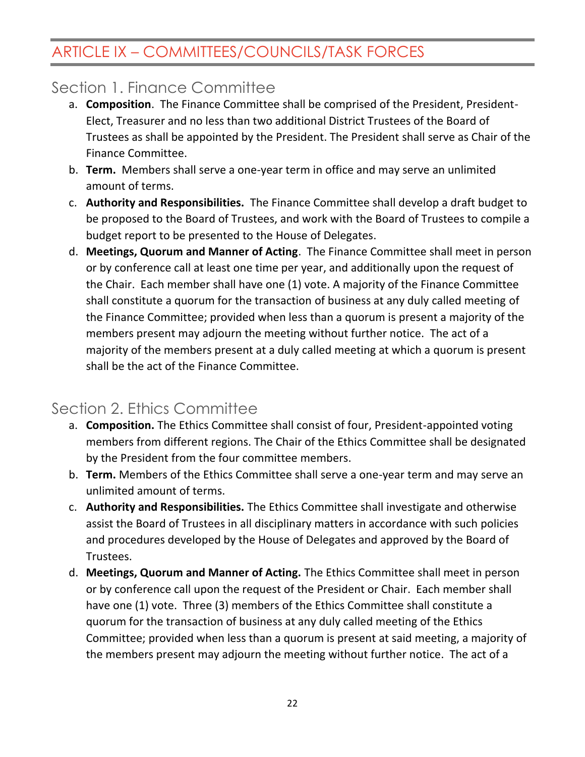## <span id="page-21-1"></span><span id="page-21-0"></span>Section 1. Finance Committee

- a. **Composition**. The Finance Committee shall be comprised of the President, President-Elect, Treasurer and no less than two additional District Trustees of the Board of Trustees as shall be appointed by the President. The President shall serve as Chair of the Finance Committee.
- b. **Term.** Members shall serve a one-year term in office and may serve an unlimited amount of terms.
- c. **Authority and Responsibilities.** The Finance Committee shall develop a draft budget to be proposed to the Board of Trustees, and work with the Board of Trustees to compile a budget report to be presented to the House of Delegates.
- d. **Meetings, Quorum and Manner of Acting**. The Finance Committee shall meet in person or by conference call at least one time per year, and additionally upon the request of the Chair. Each member shall have one (1) vote. A majority of the Finance Committee shall constitute a quorum for the transaction of business at any duly called meeting of the Finance Committee; provided when less than a quorum is present a majority of the members present may adjourn the meeting without further notice. The act of a majority of the members present at a duly called meeting at which a quorum is present shall be the act of the Finance Committee.

## <span id="page-21-2"></span>Section 2. Ethics Committee

- a. **Composition.** The Ethics Committee shall consist of four, President-appointed voting members from different regions. The Chair of the Ethics Committee shall be designated by the President from the four committee members.
- b. **Term.** Members of the Ethics Committee shall serve a one-year term and may serve an unlimited amount of terms.
- c. **Authority and Responsibilities.** The Ethics Committee shall investigate and otherwise assist the Board of Trustees in all disciplinary matters in accordance with such policies and procedures developed by the House of Delegates and approved by the Board of Trustees.
- d. **Meetings, Quorum and Manner of Acting.** The Ethics Committee shall meet in person or by conference call upon the request of the President or Chair. Each member shall have one (1) vote. Three (3) members of the Ethics Committee shall constitute a quorum for the transaction of business at any duly called meeting of the Ethics Committee; provided when less than a quorum is present at said meeting, a majority of the members present may adjourn the meeting without further notice. The act of a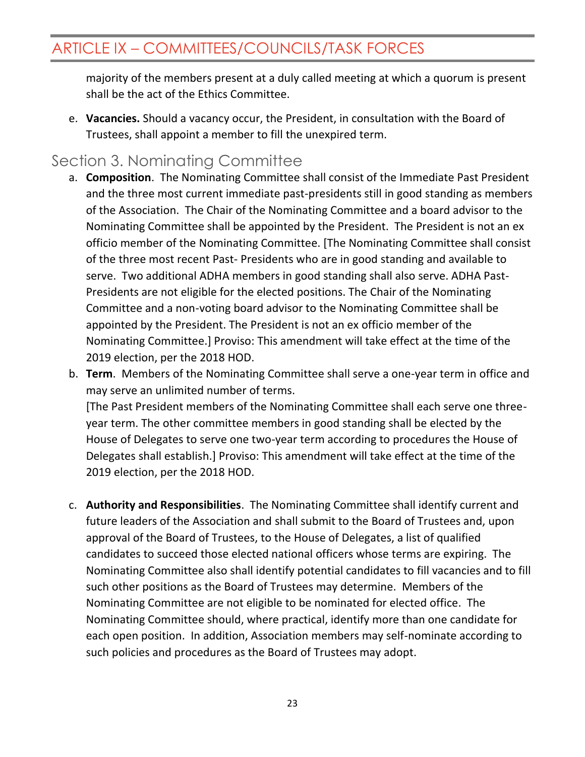majority of the members present at a duly called meeting at which a quorum is present shall be the act of the Ethics Committee.

e. **Vacancies.** Should a vacancy occur, the President, in consultation with the Board of Trustees, shall appoint a member to fill the unexpired term.

#### <span id="page-22-0"></span>Section 3. Nominating Committee

2019 election, per the 2018 HOD.

- a. **Composition**. The Nominating Committee shall consist of the Immediate Past President and the three most current immediate past-presidents still in good standing as members of the Association. The Chair of the Nominating Committee and a board advisor to the Nominating Committee shall be appointed by the President. The President is not an ex officio member of the Nominating Committee. [The Nominating Committee shall consist of the three most recent Past- Presidents who are in good standing and available to serve. Two additional ADHA members in good standing shall also serve. ADHA Past-Presidents are not eligible for the elected positions. The Chair of the Nominating Committee and a non-voting board advisor to the Nominating Committee shall be appointed by the President. The President is not an ex officio member of the Nominating Committee.] Proviso: This amendment will take effect at the time of the 2019 election, per the 2018 HOD.
- b. **Term**. Members of the Nominating Committee shall serve a one-year term in office and may serve an unlimited number of terms. [The Past President members of the Nominating Committee shall each serve one threeyear term. The other committee members in good standing shall be elected by the House of Delegates to serve one two-year term according to procedures the House of Delegates shall establish.] Proviso: This amendment will take effect at the time of the
- c. **Authority and Responsibilities**. The Nominating Committee shall identify current and future leaders of the Association and shall submit to the Board of Trustees and, upon approval of the Board of Trustees, to the House of Delegates, a list of qualified candidates to succeed those elected national officers whose terms are expiring. The Nominating Committee also shall identify potential candidates to fill vacancies and to fill such other positions as the Board of Trustees may determine. Members of the Nominating Committee are not eligible to be nominated for elected office. The Nominating Committee should, where practical, identify more than one candidate for each open position. In addition, Association members may self-nominate according to such policies and procedures as the Board of Trustees may adopt.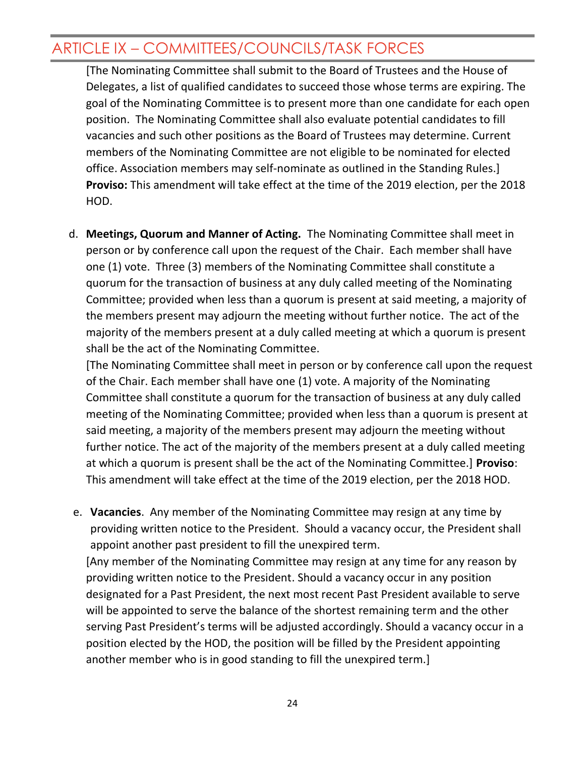[The Nominating Committee shall submit to the Board of Trustees and the House of Delegates, a list of qualified candidates to succeed those whose terms are expiring. The goal of the Nominating Committee is to present more than one candidate for each open position. The Nominating Committee shall also evaluate potential candidates to fill vacancies and such other positions as the Board of Trustees may determine. Current members of the Nominating Committee are not eligible to be nominated for elected office. Association members may self-nominate as outlined in the Standing Rules.] **Proviso:** This amendment will take effect at the time of the 2019 election, per the 2018 HOD.

d. **Meetings, Quorum and Manner of Acting.** The Nominating Committee shall meet in person or by conference call upon the request of the Chair. Each member shall have one (1) vote. Three (3) members of the Nominating Committee shall constitute a quorum for the transaction of business at any duly called meeting of the Nominating Committee; provided when less than a quorum is present at said meeting, a majority of the members present may adjourn the meeting without further notice. The act of the majority of the members present at a duly called meeting at which a quorum is present shall be the act of the Nominating Committee.

[The Nominating Committee shall meet in person or by conference call upon the request of the Chair. Each member shall have one (1) vote. A majority of the Nominating Committee shall constitute a quorum for the transaction of business at any duly called meeting of the Nominating Committee; provided when less than a quorum is present at said meeting, a majority of the members present may adjourn the meeting without further notice. The act of the majority of the members present at a duly called meeting at which a quorum is present shall be the act of the Nominating Committee.] **Proviso**: This amendment will take effect at the time of the 2019 election, per the 2018 HOD.

e. **Vacancies**. Any member of the Nominating Committee may resign at any time by providing written notice to the President. Should a vacancy occur, the President shall appoint another past president to fill the unexpired term. [Any member of the Nominating Committee may resign at any time for any reason by providing written notice to the President. Should a vacancy occur in any position designated for a Past President, the next most recent Past President available to serve will be appointed to serve the balance of the shortest remaining term and the other serving Past President's terms will be adjusted accordingly. Should a vacancy occur in a position elected by the HOD, the position will be filled by the President appointing another member who is in good standing to fill the unexpired term.]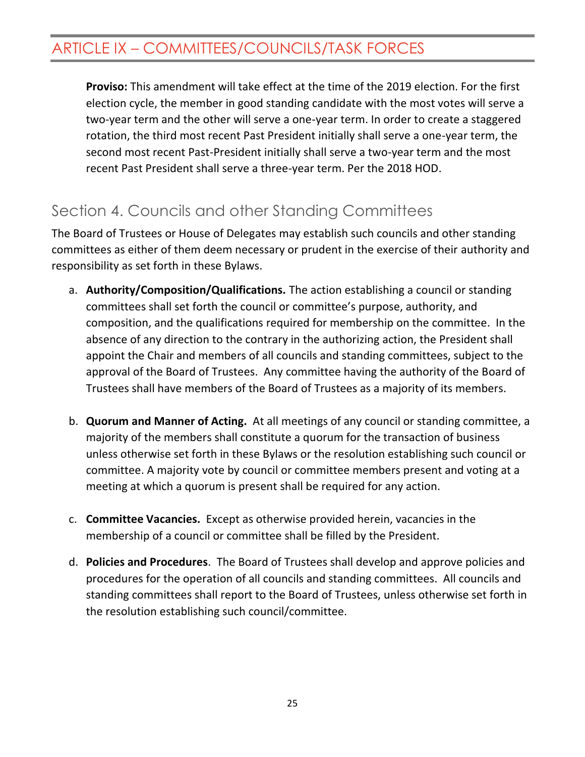**Proviso:** This amendment will take effect at the time of the 2019 election. For the first election cycle, the member in good standing candidate with the most votes will serve a two-year term and the other will serve a one-year term. In order to create a staggered rotation, the third most recent Past President initially shall serve a one-year term, the second most recent Past-President initially shall serve a two-year term and the most recent Past President shall serve a three-year term. Per the 2018 HOD.

## <span id="page-24-0"></span>Section 4. Councils and other Standing Committees

The Board of Trustees or House of Delegates may establish such councils and other standing committees as either of them deem necessary or prudent in the exercise of their authority and responsibility as set forth in these Bylaws.

- a. **Authority/Composition/Qualifications.** The action establishing a council or standing committees shall set forth the council or committee's purpose, authority, and composition, and the qualifications required for membership on the committee. In the absence of any direction to the contrary in the authorizing action, the President shall appoint the Chair and members of all councils and standing committees, subject to the approval of the Board of Trustees. Any committee having the authority of the Board of Trustees shall have members of the Board of Trustees as a majority of its members.
- b. **Quorum and Manner of Acting.** At all meetings of any council or standing committee, a majority of the members shall constitute a quorum for the transaction of business unless otherwise set forth in these Bylaws or the resolution establishing such council or committee. A majority vote by council or committee members present and voting at a meeting at which a quorum is present shall be required for any action.
- c. **Committee Vacancies.** Except as otherwise provided herein, vacancies in the membership of a council or committee shall be filled by the President.
- d. **Policies and Procedures**. The Board of Trustees shall develop and approve policies and procedures for the operation of all councils and standing committees. All councils and standing committees shall report to the Board of Trustees, unless otherwise set forth in the resolution establishing such council/committee.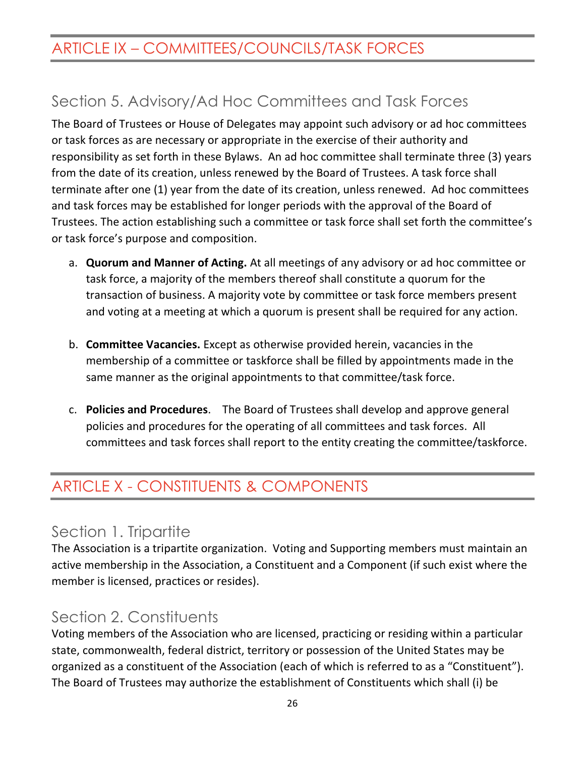# <span id="page-25-0"></span>Section 5. Advisory/Ad Hoc Committees and Task Forces

The Board of Trustees or House of Delegates may appoint such advisory or ad hoc committees or task forces as are necessary or appropriate in the exercise of their authority and responsibility as set forth in these Bylaws. An ad hoc committee shall terminate three (3) years from the date of its creation, unless renewed by the Board of Trustees. A task force shall terminate after one (1) year from the date of its creation, unless renewed. Ad hoc committees and task forces may be established for longer periods with the approval of the Board of Trustees. The action establishing such a committee or task force shall set forth the committee's or task force's purpose and composition.

- a. **Quorum and Manner of Acting.** At all meetings of any advisory or ad hoc committee or task force, a majority of the members thereof shall constitute a quorum for the transaction of business. A majority vote by committee or task force members present and voting at a meeting at which a quorum is present shall be required for any action.
- b. **Committee Vacancies.** Except as otherwise provided herein, vacancies in the membership of a committee or taskforce shall be filled by appointments made in the same manner as the original appointments to that committee/task force.
- c. **Policies and Procedures**. The Board of Trustees shall develop and approve general policies and procedures for the operating of all committees and task forces. All committees and task forces shall report to the entity creating the committee/taskforce.

## <span id="page-25-1"></span>ARTICLE X - CONSTITUENTS & COMPONENTS

### <span id="page-25-2"></span>Section 1. Tripartite

The Association is a tripartite organization. Voting and Supporting members must maintain an active membership in the Association, a Constituent and a Component (if such exist where the member is licensed, practices or resides).

#### <span id="page-25-3"></span>Section 2. Constituents

Voting members of the Association who are licensed, practicing or residing within a particular state, commonwealth, federal district, territory or possession of the United States may be organized as a constituent of the Association (each of which is referred to as a "Constituent"). The Board of Trustees may authorize the establishment of Constituents which shall (i) be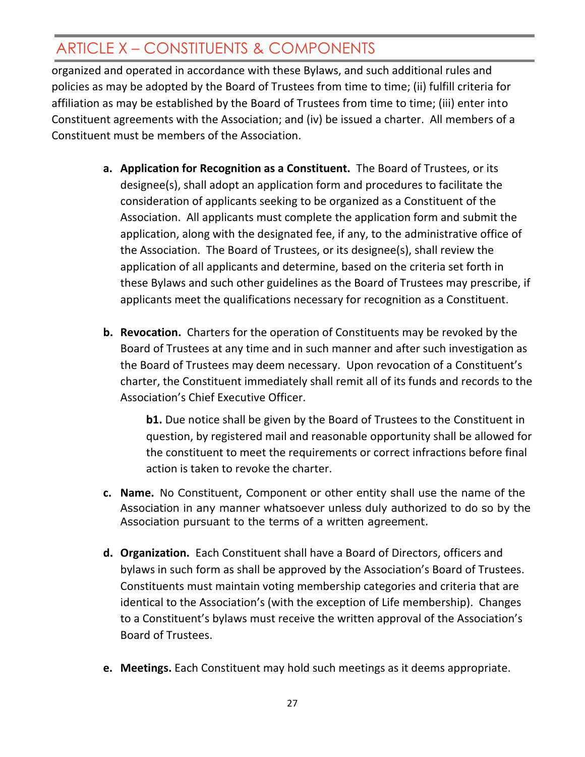# ARTICLE X – CONSTITUENTS & COMPONENTS

organized and operated in accordance with these Bylaws, and such additional rules and policies as may be adopted by the Board of Trustees from time to time; (ii) fulfill criteria for affiliation as may be established by the Board of Trustees from time to time; (iii) enter into Constituent agreements with the Association; and (iv) be issued a charter. All members of a Constituent must be members of the Association.

- **a. Application for Recognition as a Constituent.** The Board of Trustees, or its designee(s), shall adopt an application form and procedures to facilitate the consideration of applicants seeking to be organized as a Constituent of the Association. All applicants must complete the application form and submit the application, along with the designated fee, if any, to the administrative office of the Association. The Board of Trustees, or its designee(s), shall review the application of all applicants and determine, based on the criteria set forth in these Bylaws and such other guidelines as the Board of Trustees may prescribe, if applicants meet the qualifications necessary for recognition as a Constituent.
- **b. Revocation.** Charters for the operation of Constituents may be revoked by the Board of Trustees at any time and in such manner and after such investigation as the Board of Trustees may deem necessary. Upon revocation of a Constituent's charter, the Constituent immediately shall remit all of its funds and records to the Association's Chief Executive Officer.

**b1.** Due notice shall be given by the Board of Trustees to the Constituent in question, by registered mail and reasonable opportunity shall be allowed for the constituent to meet the requirements or correct infractions before final action is taken to revoke the charter.

- **c. Name.** No Constituent, Component or other entity shall use the name of the Association in any manner whatsoever unless duly authorized to do so by the Association pursuant to the terms of a written agreement.
- **d. Organization.** Each Constituent shall have a Board of Directors, officers and bylaws in such form as shall be approved by the Association's Board of Trustees. Constituents must maintain voting membership categories and criteria that are identical to the Association's (with the exception of Life membership). Changes to a Constituent's bylaws must receive the written approval of the Association's Board of Trustees.
- **e. Meetings.** Each Constituent may hold such meetings as it deems appropriate.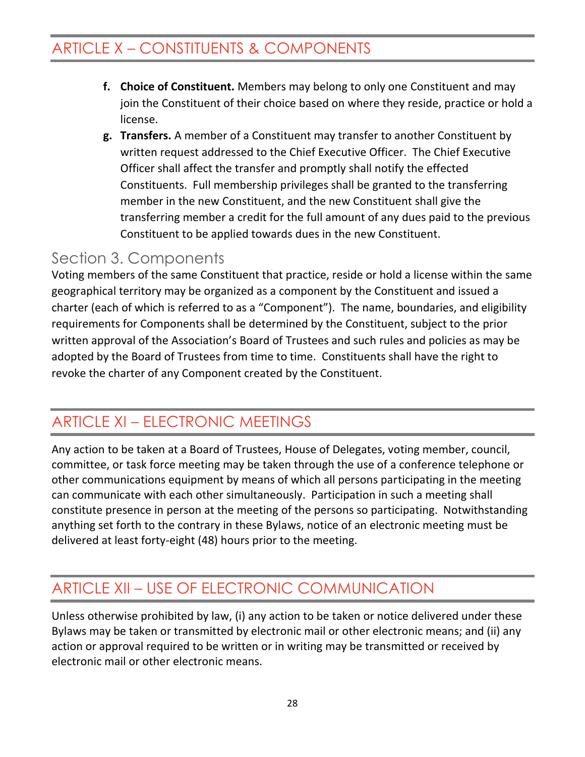## ARTICLE X – CONSTITUENTS & COMPONENTS

- **f. Choice of Constituent.** Members may belong to only one Constituent and may join the Constituent of their choice based on where they reside, practice or hold a license.
- **g. Transfers.** A member of a Constituent may transfer to another Constituent by written request addressed to the Chief Executive Officer. The Chief Executive Officer shall affect the transfer and promptly shall notify the effected Constituents. Full membership privileges shall be granted to the transferring member in the new Constituent, and the new Constituent shall give the transferring member a credit for the full amount of any dues paid to the previous Constituent to be applied towards dues in the new Constituent.

### <span id="page-27-0"></span>Section 3. Components

Voting members of the same Constituent that practice, reside or hold a license within the same geographical territory may be organized as a component by the Constituent and issued a charter (each of which is referred to as a "Component"). The name, boundaries, and eligibility requirements for Components shall be determined by the Constituent, subject to the prior written approval of the Association's Board of Trustees and such rules and policies as may be adopted by the Board of Trustees from time to time. Constituents shall have the right to revoke the charter of any Component created by the Constituent.

# <span id="page-27-1"></span>ARTICLE XI – ELECTRONIC MEETINGS

Any action to be taken at a Board of Trustees, House of Delegates, voting member, council, committee, or task force meeting may be taken through the use of a conference telephone or other communications equipment by means of which all persons participating in the meeting can communicate with each other simultaneously. Participation in such a meeting shall constitute presence in person at the meeting of the persons so participating. Notwithstanding anything set forth to the contrary in these Bylaws, notice of an electronic meeting must be delivered at least forty-eight (48) hours prior to the meeting.

## <span id="page-27-2"></span>ARTICLE XII – USE OF ELECTRONIC COMMUNICATION

Unless otherwise prohibited by law, (i) any action to be taken or notice delivered under these Bylaws may be taken or transmitted by electronic mail or other electronic means; and (ii) any action or approval required to be written or in writing may be transmitted or received by electronic mail or other electronic means.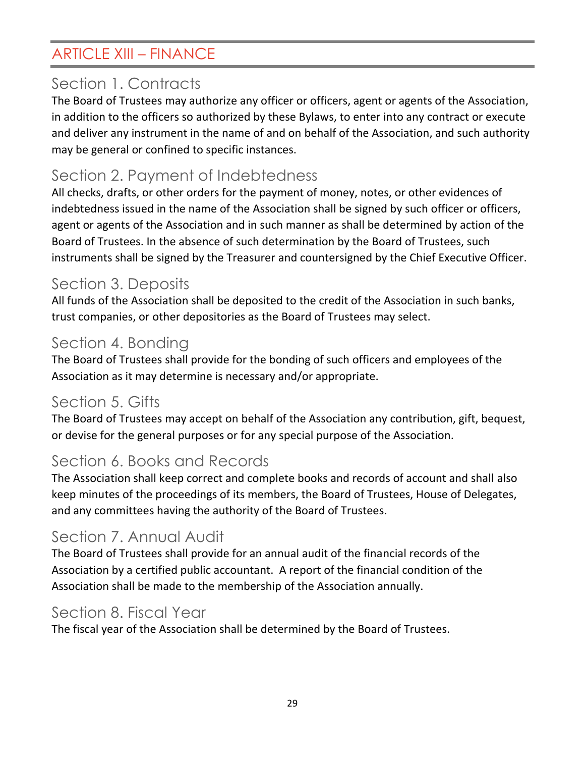## <span id="page-28-0"></span>ARTICLE XIII – FINANCE

## <span id="page-28-1"></span>Section 1. Contracts

The Board of Trustees may authorize any officer or officers, agent or agents of the Association, in addition to the officers so authorized by these Bylaws, to enter into any contract or execute and deliver any instrument in the name of and on behalf of the Association, and such authority may be general or confined to specific instances.

## <span id="page-28-2"></span>Section 2. Payment of Indebtedness

All checks, drafts, or other orders for the payment of money, notes, or other evidences of indebtedness issued in the name of the Association shall be signed by such officer or officers, agent or agents of the Association and in such manner as shall be determined by action of the Board of Trustees. In the absence of such determination by the Board of Trustees, such instruments shall be signed by the Treasurer and countersigned by the Chief Executive Officer.

### <span id="page-28-3"></span>Section 3. Deposits

All funds of the Association shall be deposited to the credit of the Association in such banks, trust companies, or other depositories as the Board of Trustees may select.

### <span id="page-28-4"></span>Section 4. Bonding

The Board of Trustees shall provide for the bonding of such officers and employees of the Association as it may determine is necessary and/or appropriate.

## <span id="page-28-5"></span>Section 5. Gifts

The Board of Trustees may accept on behalf of the Association any contribution, gift, bequest, or devise for the general purposes or for any special purpose of the Association.

## <span id="page-28-6"></span>Section 6. Books and Records

The Association shall keep correct and complete books and records of account and shall also keep minutes of the proceedings of its members, the Board of Trustees, House of Delegates, and any committees having the authority of the Board of Trustees.

## <span id="page-28-7"></span>Section 7. Annual Audit

The Board of Trustees shall provide for an annual audit of the financial records of the Association by a certified public accountant. A report of the financial condition of the Association shall be made to the membership of the Association annually.

#### <span id="page-28-8"></span>Section 8. Fiscal Year

The fiscal year of the Association shall be determined by the Board of Trustees.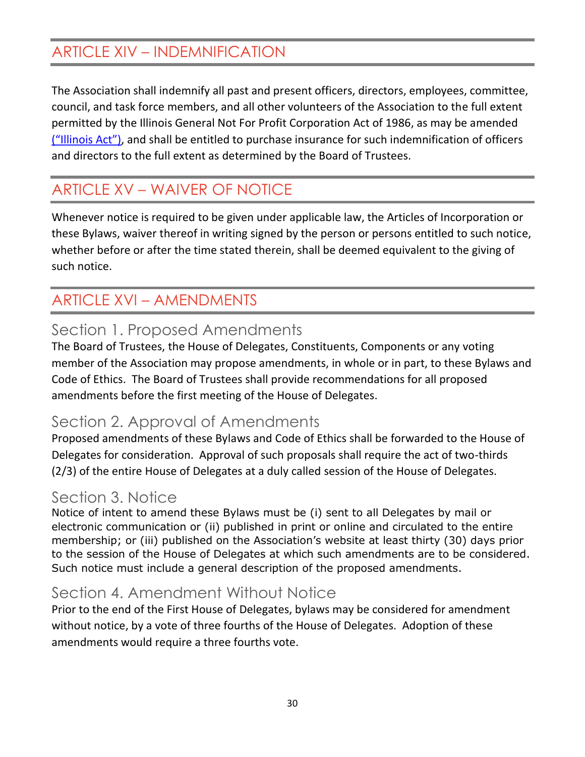## <span id="page-29-0"></span>ARTICLE XIV – INDEMNIFICATION

The Association shall indemnify all past and present officers, directors, employees, committee, council, and task force members, and all other volunteers of the Association to the full extent permitted by the Illinois General Not For Profit Corporation Act of 1986, as may be amended ("Illinois Act"), and shall be entitled to purchase insurance for such indemnification of officers and directors to the full extent as determined by the Board of Trustees.

## <span id="page-29-1"></span>ARTICLE XV – WAIVER OF NOTICE

Whenever notice is required to be given under applicable law, the Articles of Incorporation or these Bylaws, waiver thereof in writing signed by the person or persons entitled to such notice, whether before or after the time stated therein, shall be deemed equivalent to the giving of such notice.

## <span id="page-29-2"></span>ARTICLE XVI – AMENDMENTS

### <span id="page-29-3"></span>Section 1. Proposed Amendments

The Board of Trustees, the House of Delegates, Constituents, Components or any voting member of the Association may propose amendments, in whole or in part, to these Bylaws and Code of Ethics. The Board of Trustees shall provide recommendations for all proposed amendments before the first meeting of the House of Delegates.

### <span id="page-29-4"></span>Section 2. Approval of Amendments

Proposed amendments of these Bylaws and Code of Ethics shall be forwarded to the House of Delegates for consideration. Approval of such proposals shall require the act of two-thirds (2/3) of the entire House of Delegates at a duly called session of the House of Delegates.

### <span id="page-29-5"></span>Section 3. Notice

Notice of intent to amend these Bylaws must be (i) sent to all Delegates by mail or electronic communication or (ii) published in print or online and circulated to the entire membership; or (iii) published on the Association's website at least thirty (30) days prior to the session of the House of Delegates at which such amendments are to be considered. Such notice must include a general description of the proposed amendments.

## <span id="page-29-6"></span>Section 4. Amendment Without Notice

Prior to the end of the First House of Delegates, bylaws may be considered for amendment without notice, by a vote of three fourths of the House of Delegates. Adoption of these amendments would require a three fourths vote.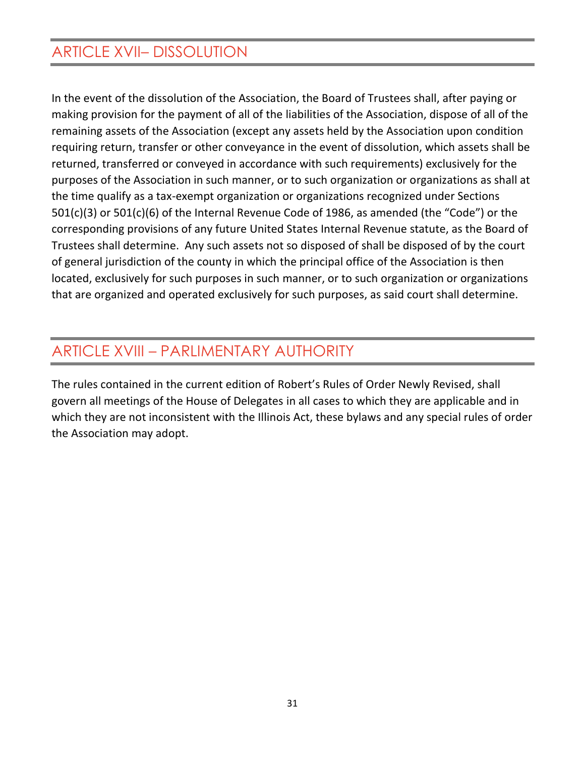## <span id="page-30-0"></span>ARTICLE XVII– DISSOLUTION

In the event of the dissolution of the Association, the Board of Trustees shall, after paying or making provision for the payment of all of the liabilities of the Association, dispose of all of the remaining assets of the Association (except any assets held by the Association upon condition requiring return, transfer or other conveyance in the event of dissolution, which assets shall be returned, transferred or conveyed in accordance with such requirements) exclusively for the purposes of the Association in such manner, or to such organization or organizations as shall at the time qualify as a tax-exempt organization or organizations recognized under Sections 501(c)(3) or 501(c)(6) of the Internal Revenue Code of 1986, as amended (the "Code") or the corresponding provisions of any future United States Internal Revenue statute, as the Board of Trustees shall determine. Any such assets not so disposed of shall be disposed of by the court of general jurisdiction of the county in which the principal office of the Association is then located, exclusively for such purposes in such manner, or to such organization or organizations that are organized and operated exclusively for such purposes, as said court shall determine.

### <span id="page-30-1"></span>ARTICLE XVIII – PARLIMENTARY AUTHORITY

The rules contained in the current edition of Robert's Rules of Order Newly Revised, shall govern all meetings of the House of Delegates in all cases to which they are applicable and in which they are not inconsistent with the Illinois Act, these bylaws and any special rules of order the Association may adopt.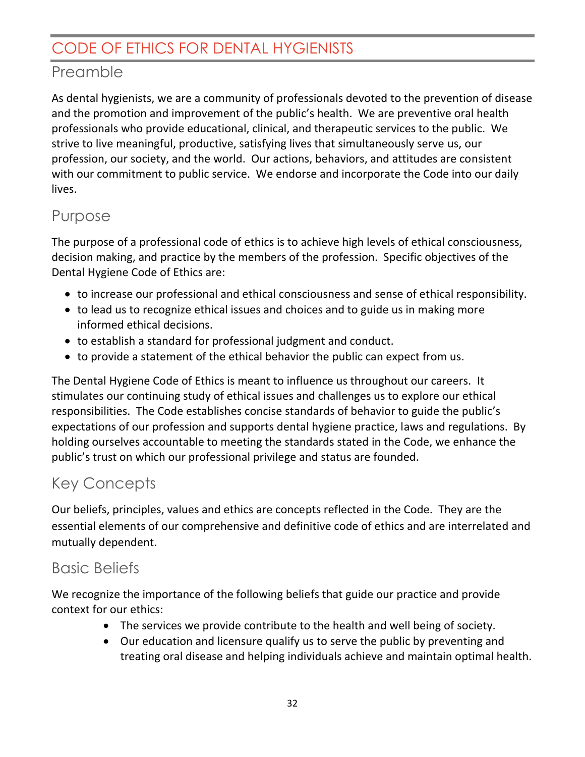### <span id="page-31-1"></span><span id="page-31-0"></span>Preamble

As dental hygienists, we are a community of professionals devoted to the prevention of disease and the promotion and improvement of the public's health. We are preventive oral health professionals who provide educational, clinical, and therapeutic services to the public. We strive to live meaningful, productive, satisfying lives that simultaneously serve us, our profession, our society, and the world. Our actions, behaviors, and attitudes are consistent with our commitment to public service. We endorse and incorporate the Code into our daily lives.

## <span id="page-31-2"></span>Purpose

The purpose of a professional code of ethics is to achieve high levels of ethical consciousness, decision making, and practice by the members of the profession. Specific objectives of the Dental Hygiene Code of Ethics are:

- to increase our professional and ethical consciousness and sense of ethical responsibility.
- to lead us to recognize ethical issues and choices and to guide us in making more informed ethical decisions.
- to establish a standard for professional judgment and conduct.
- to provide a statement of the ethical behavior the public can expect from us.

The Dental Hygiene Code of Ethics is meant to influence us throughout our careers. It stimulates our continuing study of ethical issues and challenges us to explore our ethical responsibilities. The Code establishes concise standards of behavior to guide the public's expectations of our profession and supports dental hygiene practice, laws and regulations. By holding ourselves accountable to meeting the standards stated in the Code, we enhance the public's trust on which our professional privilege and status are founded.

## <span id="page-31-3"></span>Key Concepts

Our beliefs, principles, values and ethics are concepts reflected in the Code. They are the essential elements of our comprehensive and definitive code of ethics and are interrelated and mutually dependent.

## <span id="page-31-4"></span>Basic Beliefs

We recognize the importance of the following beliefs that guide our practice and provide context for our ethics:

- The services we provide contribute to the health and well being of society.
- Our education and licensure qualify us to serve the public by preventing and treating oral disease and helping individuals achieve and maintain optimal health.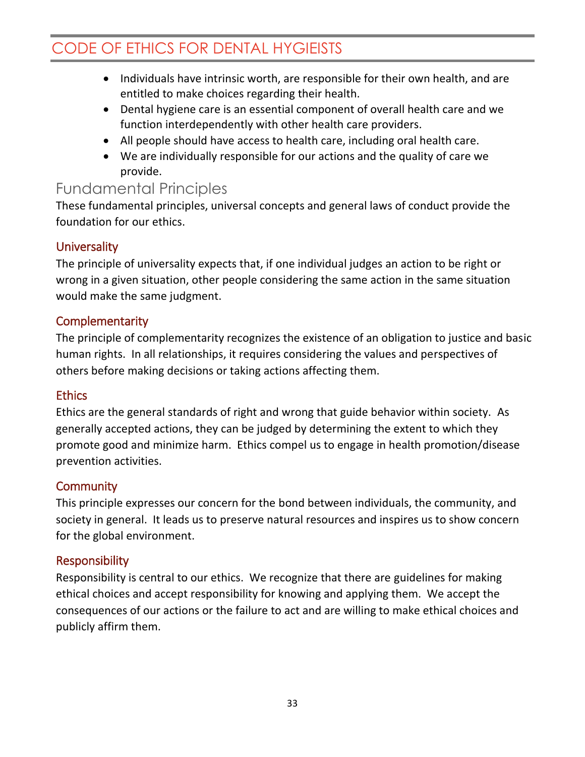- Individuals have intrinsic worth, are responsible for their own health, and are entitled to make choices regarding their health.
- Dental hygiene care is an essential component of overall health care and we function interdependently with other health care providers.
- All people should have access to health care, including oral health care.
- We are individually responsible for our actions and the quality of care we provide.

#### <span id="page-32-0"></span>Fundamental Principles

These fundamental principles, universal concepts and general laws of conduct provide the foundation for our ethics.

#### <span id="page-32-1"></span>**Universality**

The principle of universality expects that, if one individual judges an action to be right or wrong in a given situation, other people considering the same action in the same situation would make the same judgment.

#### <span id="page-32-2"></span>**Complementarity**

The principle of complementarity recognizes the existence of an obligation to justice and basic human rights. In all relationships, it requires considering the values and perspectives of others before making decisions or taking actions affecting them.

#### <span id="page-32-3"></span>**Ethics**

Ethics are the general standards of right and wrong that guide behavior within society. As generally accepted actions, they can be judged by determining the extent to which they promote good and minimize harm. Ethics compel us to engage in health promotion/disease prevention activities.

#### <span id="page-32-4"></span>**Community**

This principle expresses our concern for the bond between individuals, the community, and society in general. It leads us to preserve natural resources and inspires us to show concern for the global environment.

#### <span id="page-32-5"></span>Responsibility

Responsibility is central to our ethics. We recognize that there are guidelines for making ethical choices and accept responsibility for knowing and applying them. We accept the consequences of our actions or the failure to act and are willing to make ethical choices and publicly affirm them.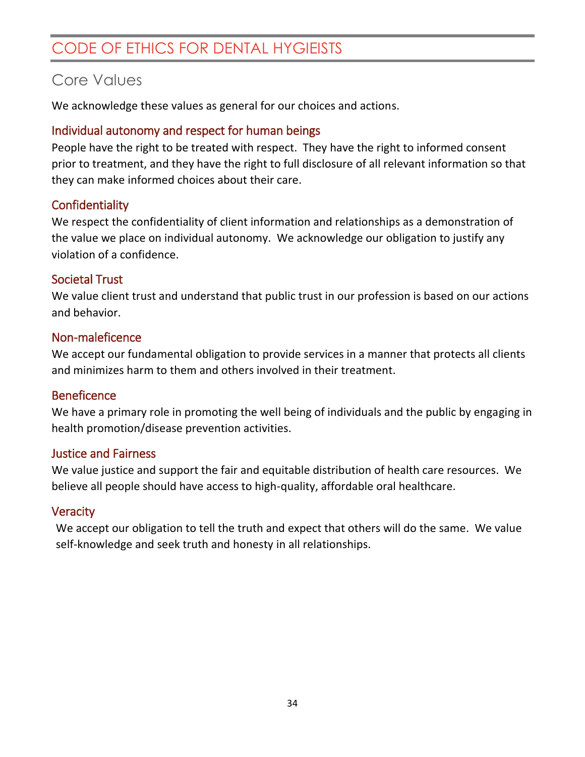#### <span id="page-33-0"></span>Core Values

We acknowledge these values as general for our choices and actions.

#### <span id="page-33-1"></span>Individual autonomy and respect for human beings

People have the right to be treated with respect. They have the right to informed consent prior to treatment, and they have the right to full disclosure of all relevant information so that they can make informed choices about their care.

#### <span id="page-33-2"></span>**Confidentiality**

We respect the confidentiality of client information and relationships as a demonstration of the value we place on individual autonomy. We acknowledge our obligation to justify any violation of a confidence.

#### <span id="page-33-3"></span>Societal Trust

We value client trust and understand that public trust in our profession is based on our actions and behavior.

#### <span id="page-33-4"></span>Non-maleficence

We accept our fundamental obligation to provide services in a manner that protects all clients and minimizes harm to them and others involved in their treatment.

#### <span id="page-33-5"></span>**Beneficence**

We have a primary role in promoting the well being of individuals and the public by engaging in health promotion/disease prevention activities.

#### <span id="page-33-6"></span>Justice and Fairness

We value justice and support the fair and equitable distribution of health care resources. We believe all people should have access to high-quality, affordable oral healthcare.

#### <span id="page-33-7"></span>**Veracity**

We accept our obligation to tell the truth and expect that others will do the same. We value self-knowledge and seek truth and honesty in all relationships.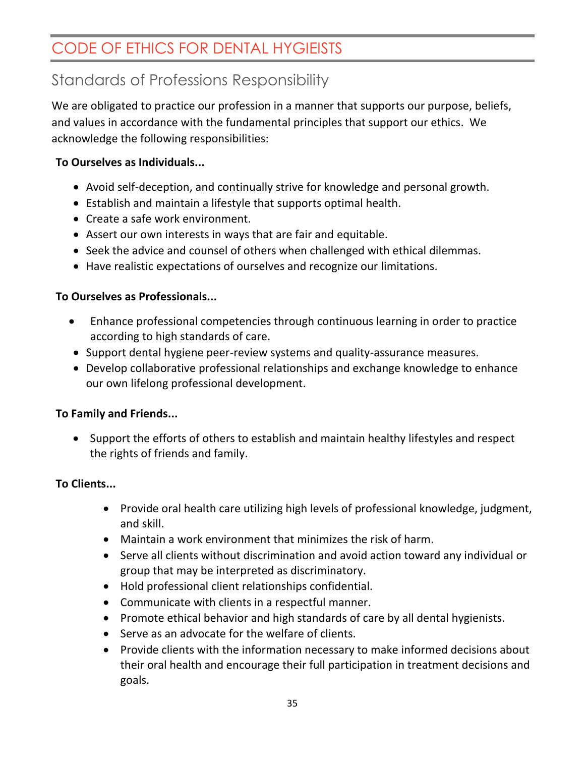## <span id="page-34-0"></span>Standards of Professions Responsibility

We are obligated to practice our profession in a manner that supports our purpose, beliefs, and values in accordance with the fundamental principles that support our ethics. We acknowledge the following responsibilities:

#### **To Ourselves as Individuals...**

- Avoid self-deception, and continually strive for knowledge and personal growth.
- Establish and maintain a lifestyle that supports optimal health.
- Create a safe work environment.
- Assert our own interests in ways that are fair and equitable.
- Seek the advice and counsel of others when challenged with ethical dilemmas.
- Have realistic expectations of ourselves and recognize our limitations.

#### **To Ourselves as Professionals...**

- Enhance professional competencies through continuous learning in order to practice according to high standards of care.
- Support dental hygiene peer-review systems and quality-assurance measures.
- Develop collaborative professional relationships and exchange knowledge to enhance our own lifelong professional development.

#### **To Family and Friends...**

• Support the efforts of others to establish and maintain healthy lifestyles and respect the rights of friends and family.

#### **To Clients...**

- Provide oral health care utilizing high levels of professional knowledge, judgment, and skill.
- Maintain a work environment that minimizes the risk of harm.
- Serve all clients without discrimination and avoid action toward any individual or group that may be interpreted as discriminatory.
- Hold professional client relationships confidential.
- Communicate with clients in a respectful manner.
- Promote ethical behavior and high standards of care by all dental hygienists.
- Serve as an advocate for the welfare of clients.
- Provide clients with the information necessary to make informed decisions about their oral health and encourage their full participation in treatment decisions and goals.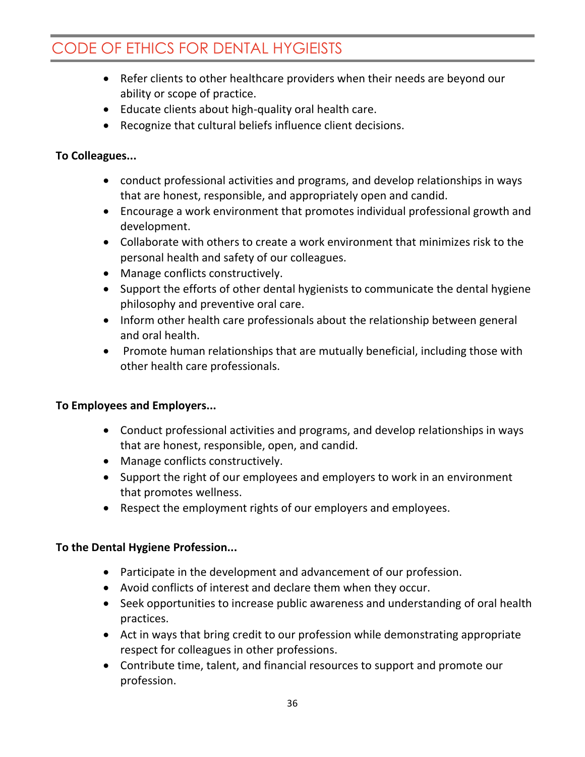- Refer clients to other healthcare providers when their needs are beyond our ability or scope of practice.
- Educate clients about high-quality oral health care.
- Recognize that cultural beliefs influence client decisions.

#### **To Colleagues...**

- conduct professional activities and programs, and develop relationships in ways that are honest, responsible, and appropriately open and candid.
- Encourage a work environment that promotes individual professional growth and development.
- Collaborate with others to create a work environment that minimizes risk to the personal health and safety of our colleagues.
- Manage conflicts constructively.
- Support the efforts of other dental hygienists to communicate the dental hygiene philosophy and preventive oral care.
- Inform other health care professionals about the relationship between general and oral health.
- Promote human relationships that are mutually beneficial, including those with other health care professionals.

#### **To Employees and Employers...**

- Conduct professional activities and programs, and develop relationships in ways that are honest, responsible, open, and candid.
- Manage conflicts constructively.
- Support the right of our employees and employers to work in an environment that promotes wellness.
- Respect the employment rights of our employers and employees.

#### **To the Dental Hygiene Profession...**

- Participate in the development and advancement of our profession.
- Avoid conflicts of interest and declare them when they occur.
- Seek opportunities to increase public awareness and understanding of oral health practices.
- Act in ways that bring credit to our profession while demonstrating appropriate respect for colleagues in other professions.
- Contribute time, talent, and financial resources to support and promote our profession.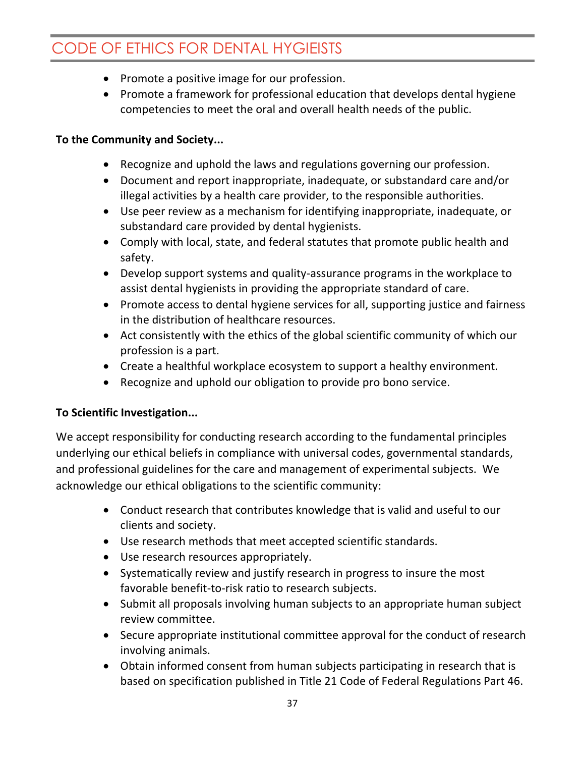- Promote a positive image for our profession.
- Promote a framework for professional education that develops dental hygiene competencies to meet the oral and overall health needs of the public.

#### **To the Community and Society...**

- Recognize and uphold the laws and regulations governing our profession.
- Document and report inappropriate, inadequate, or substandard care and/or illegal activities by a health care provider, to the responsible authorities.
- Use peer review as a mechanism for identifying inappropriate, inadequate, or substandard care provided by dental hygienists.
- Comply with local, state, and federal statutes that promote public health and safety.
- Develop support systems and quality-assurance programs in the workplace to assist dental hygienists in providing the appropriate standard of care.
- Promote access to dental hygiene services for all, supporting justice and fairness in the distribution of healthcare resources.
- Act consistently with the ethics of the global scientific community of which our profession is a part.
- Create a healthful workplace ecosystem to support a healthy environment.
- Recognize and uphold our obligation to provide pro bono service.

#### **To Scientific Investigation...**

We accept responsibility for conducting research according to the fundamental principles underlying our ethical beliefs in compliance with universal codes, governmental standards, and professional guidelines for the care and management of experimental subjects. We acknowledge our ethical obligations to the scientific community:

- Conduct research that contributes knowledge that is valid and useful to our clients and society.
- Use research methods that meet accepted scientific standards.
- Use research resources appropriately.
- Systematically review and justify research in progress to insure the most favorable benefit-to-risk ratio to research subjects.
- Submit all proposals involving human subjects to an appropriate human subject review committee.
- Secure appropriate institutional committee approval for the conduct of research involving animals.
- Obtain informed consent from human subjects participating in research that is based on specification published in Title 21 Code of Federal Regulations Part 46.